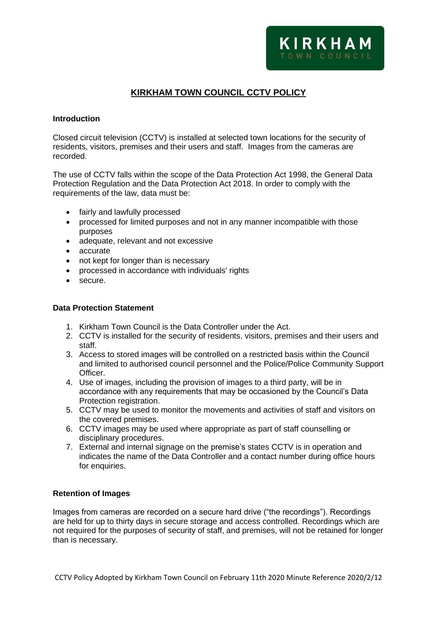# **KIRKHAM TOWN COUNCIL CCTV POLICY**

## **Introduction**

Closed circuit television (CCTV) is installed at selected town locations for the security of residents, visitors, premises and their users and staff. Images from the cameras are recorded.

The use of CCTV falls within the scope of the Data Protection Act 1998, the General Data Protection Regulation and the Data Protection Act 2018. In order to comply with the requirements of the law, data must be:

- fairly and lawfully processed
- processed for limited purposes and not in any manner incompatible with those purposes
- adequate, relevant and not excessive
- accurate
- not kept for longer than is necessary
- processed in accordance with individuals' rights
- secure.

#### **Data Protection Statement**

- 1. Kirkham Town Council is the Data Controller under the Act.
- 2. CCTV is installed for the security of residents, visitors, premises and their users and staff.
- 3. Access to stored images will be controlled on a restricted basis within the Council and limited to authorised council personnel and the Police/Police Community Support Officer.
- 4. Use of images, including the provision of images to a third party, will be in accordance with any requirements that may be occasioned by the Council's Data Protection registration.
- 5. CCTV may be used to monitor the movements and activities of staff and visitors on the covered premises.
- 6. CCTV images may be used where appropriate as part of staff counselling or disciplinary procedures.
- 7. External and internal signage on the premise's states CCTV is in operation and indicates the name of the Data Controller and a contact number during office hours for enquiries.

#### **Retention of Images**

Images from cameras are recorded on a secure hard drive ("the recordings"). Recordings are held for up to thirty days in secure storage and access controlled. Recordings which are not required for the purposes of security of staff, and premises, will not be retained for longer than is necessary.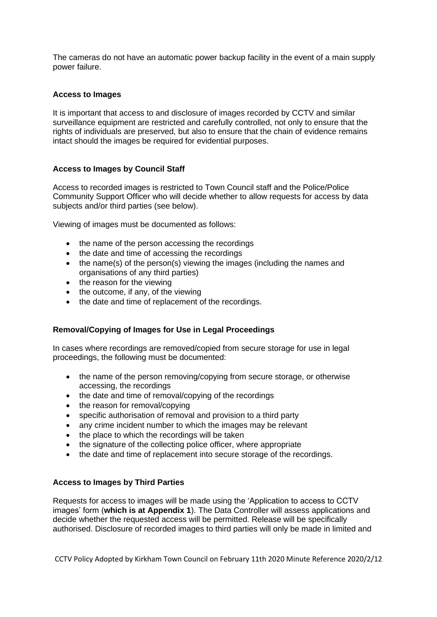The cameras do not have an automatic power backup facility in the event of a main supply power failure.

## **Access to Images**

It is important that access to and disclosure of images recorded by CCTV and similar surveillance equipment are restricted and carefully controlled, not only to ensure that the rights of individuals are preserved, but also to ensure that the chain of evidence remains intact should the images be required for evidential purposes.

# **Access to Images by Council Staff**

Access to recorded images is restricted to Town Council staff and the Police/Police Community Support Officer who will decide whether to allow requests for access by data subjects and/or third parties (see below).

Viewing of images must be documented as follows:

- the name of the person accessing the recordings
- the date and time of accessing the recordings
- the name(s) of the person(s) viewing the images (including the names and organisations of any third parties)
- the reason for the viewing
- the outcome, if any, of the viewing
- the date and time of replacement of the recordings.

## **Removal/Copying of Images for Use in Legal Proceedings**

In cases where recordings are removed/copied from secure storage for use in legal proceedings, the following must be documented:

- the name of the person removing/copying from secure storage, or otherwise accessing, the recordings
- the date and time of removal/copying of the recordings
- the reason for removal/copying
- specific authorisation of removal and provision to a third party
- any crime incident number to which the images may be relevant
- the place to which the recordings will be taken
- the signature of the collecting police officer, where appropriate
- the date and time of replacement into secure storage of the recordings.

## **Access to Images by Third Parties**

Requests for access to images will be made using the 'Application to access to CCTV images' form (**which is at Appendix 1**). The Data Controller will assess applications and decide whether the requested access will be permitted. Release will be specifically authorised. Disclosure of recorded images to third parties will only be made in limited and

CCTV Policy Adopted by Kirkham Town Council on February 11th 2020 Minute Reference 2020/2/12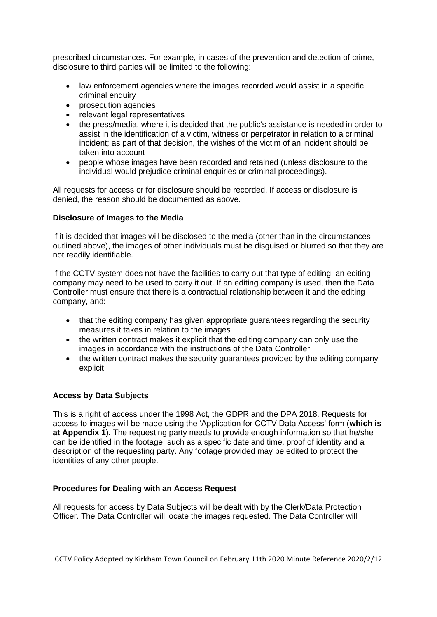prescribed circumstances. For example, in cases of the prevention and detection of crime, disclosure to third parties will be limited to the following:

- law enforcement agencies where the images recorded would assist in a specific criminal enquiry
- prosecution agencies
- relevant legal representatives
- the press/media, where it is decided that the public's assistance is needed in order to assist in the identification of a victim, witness or perpetrator in relation to a criminal incident; as part of that decision, the wishes of the victim of an incident should be taken into account
- people whose images have been recorded and retained (unless disclosure to the individual would prejudice criminal enquiries or criminal proceedings).

All requests for access or for disclosure should be recorded. If access or disclosure is denied, the reason should be documented as above.

## **Disclosure of Images to the Media**

If it is decided that images will be disclosed to the media (other than in the circumstances outlined above), the images of other individuals must be disguised or blurred so that they are not readily identifiable.

If the CCTV system does not have the facilities to carry out that type of editing, an editing company may need to be used to carry it out. If an editing company is used, then the Data Controller must ensure that there is a contractual relationship between it and the editing company, and:

- that the editing company has given appropriate guarantees regarding the security measures it takes in relation to the images
- the written contract makes it explicit that the editing company can only use the images in accordance with the instructions of the Data Controller
- the written contract makes the security quarantees provided by the editing company explicit.

## **Access by Data Subjects**

This is a right of access under the 1998 Act, the GDPR and the DPA 2018. Requests for access to images will be made using the 'Application for CCTV Data Access' form (**which is at Appendix 1**). The requesting party needs to provide enough information so that he/she can be identified in the footage, such as a specific date and time, proof of identity and a description of the requesting party. Any footage provided may be edited to protect the identities of any other people.

#### **Procedures for Dealing with an Access Request**

All requests for access by Data Subjects will be dealt with by the Clerk/Data Protection Officer. The Data Controller will locate the images requested. The Data Controller will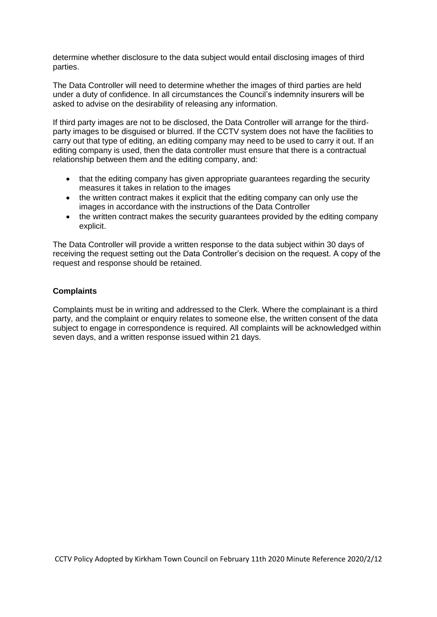determine whether disclosure to the data subject would entail disclosing images of third parties.

The Data Controller will need to determine whether the images of third parties are held under a duty of confidence. In all circumstances the Council's indemnity insurers will be asked to advise on the desirability of releasing any information.

If third party images are not to be disclosed, the Data Controller will arrange for the thirdparty images to be disguised or blurred. If the CCTV system does not have the facilities to carry out that type of editing, an editing company may need to be used to carry it out. If an editing company is used, then the data controller must ensure that there is a contractual relationship between them and the editing company, and:

- that the editing company has given appropriate guarantees regarding the security measures it takes in relation to the images
- the written contract makes it explicit that the editing company can only use the images in accordance with the instructions of the Data Controller
- the written contract makes the security quarantees provided by the editing company explicit.

The Data Controller will provide a written response to the data subject within 30 days of receiving the request setting out the Data Controller's decision on the request. A copy of the request and response should be retained.

# **Complaints**

Complaints must be in writing and addressed to the Clerk. Where the complainant is a third party, and the complaint or enquiry relates to someone else, the written consent of the data subject to engage in correspondence is required. All complaints will be acknowledged within seven days, and a written response issued within 21 days.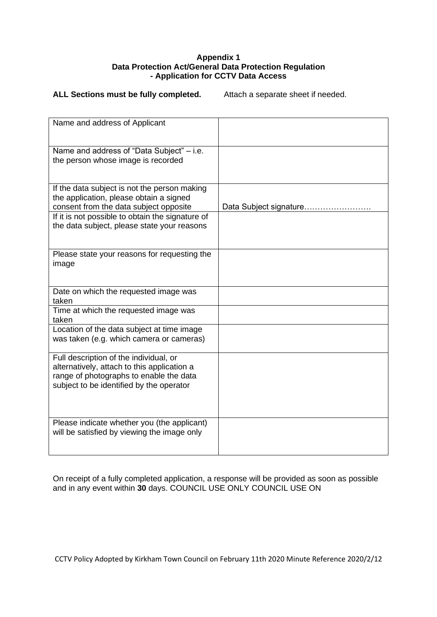#### **Appendix 1 Data Protection Act/General Data Protection Regulation - Application for CCTV Data Access**

#### ALL Sections must be fully completed. Attach a separate sheet if needed.

| Name and address of Applicant                                                                                                                                                |                        |
|------------------------------------------------------------------------------------------------------------------------------------------------------------------------------|------------------------|
| Name and address of "Data Subject" - i.e.<br>the person whose image is recorded                                                                                              |                        |
| If the data subject is not the person making<br>the application, please obtain a signed<br>consent from the data subject opposite                                            | Data Subject signature |
| If it is not possible to obtain the signature of<br>the data subject, please state your reasons                                                                              |                        |
| Please state your reasons for requesting the<br>image                                                                                                                        |                        |
| Date on which the requested image was<br>taken                                                                                                                               |                        |
| Time at which the requested image was<br>taken                                                                                                                               |                        |
| Location of the data subject at time image<br>was taken (e.g. which camera or cameras)                                                                                       |                        |
| Full description of the individual, or<br>alternatively, attach to this application a<br>range of photographs to enable the data<br>subject to be identified by the operator |                        |
| Please indicate whether you (the applicant)<br>will be satisfied by viewing the image only                                                                                   |                        |

On receipt of a fully completed application, a response will be provided as soon as possible and in any event within **30** days. COUNCIL USE ONLY COUNCIL USE ON

CCTV Policy Adopted by Kirkham Town Council on February 11th 2020 Minute Reference 2020/2/12